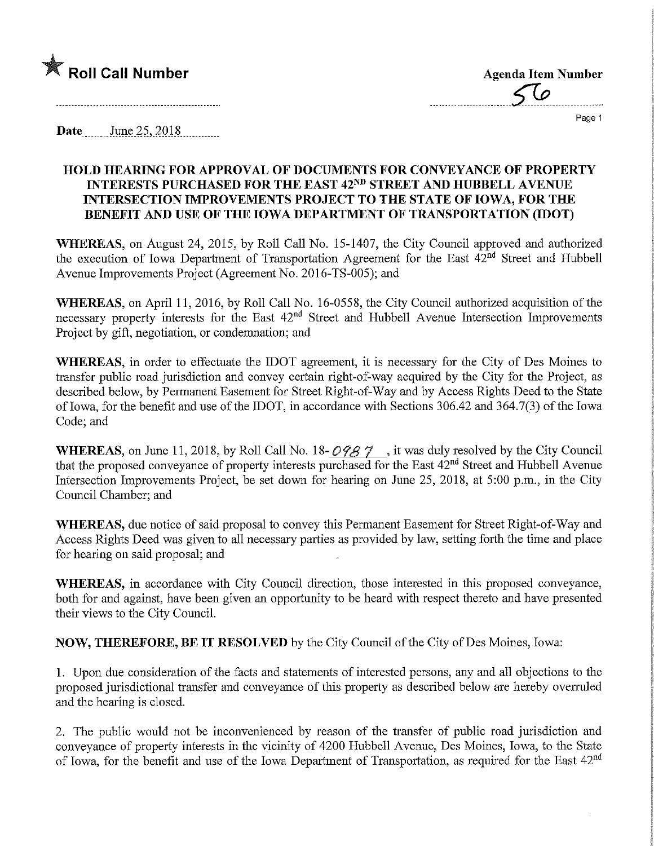

Page 1

 $\bar{z}$ 

Date June 25, 2018

## HOLD HEARING FOR APPROVAL OF DOCUMENTS FOR CONVEYANCE OF PROPERTY INTERESTS PURCHASED FOR THE EAST 42ND STREET AND HUBBELL AVENUE INTERSECTION IMPROVEMENTS PROJECT TO THE STATE OF IOWA, FOR THE BENEFIT AND USE OF THE IOWA DEPARTMENT OF TRANSPORTATION (IDOT)

WHEREAS, on August 24, 2015, by Roll Call No. 15-1407, the City Council approved and authorized the execution of Iowa Department of Transportation Agreement for the East  $42^{nd}$  Street and Hubbell Avenue Improvements Project (Agreement No. 2016-TS-005); and

WHEREAS, on April 11, 2016, by Roll Call No. 16-0558, the City Council authorized acquisition of the necessary property interests for the East  $42<sup>nd</sup>$  Street and Hubbell Avenue Intersection Improvements Project by gift, negotiation, or condemnation; and

WHEREAS, in order to effectuate the IDOT agreement, it is necessary for the City of Des Moines to transfer public road jurisdiction and convey certain right-of-way acquired by the City for the Project, as described below, by Permanent Easement for Street Right-of-Way and by Access Rights Deed to the State of Iowa, for the benefit and use of the IDOT, in accordance with Sections 306.42 and 364.7(3) of the Iowa Code; and

WHEREAS, on June 11, 2018, by Roll Call No. 18- $O98\%$ , it was duly resolved by the City Council that the proposed conveyance of property interests purchased for the East 42<sup>nd</sup> Street and Hubbell Avenue Intersection Improvements Project, be set down for hearing on June 25, 2018, at 5:00 p.m., in the City Council Chamber; and

WHEREAS, due notice of said proposal to convey this Permanent Easement for Street Right-of-Way and Access Rights Deed was given to all necessary parties as provided by law, setting forth the time and place for hearing on said proposal; and

WHEREAS, in accordance with City Council direction, those interested in this proposed conveyance, both for and against, have been given an opportunity to be heard with respect thereto and have presented their views to the City Council.

NOW, THEREFORE, BE IT RESOLVED by the City Council of the City of Des Moines, Iowa:

1. Upon due consideration of the facts and statements of interested persons, any and all objections to the proposed jurisdictional transfer and conveyance of this property as described below are hereby overruled and the hearing is closed.

2. The public would not be inconvenienced by reason of the transfer of public road jurisdiction and conveyance of property interests in the vicinity of 4200 Hubbell Avenue, Des Moines, Iowa, to the State of Iowa, for the benefit and use of the Iowa Department of Transportation, as required for the East 42nd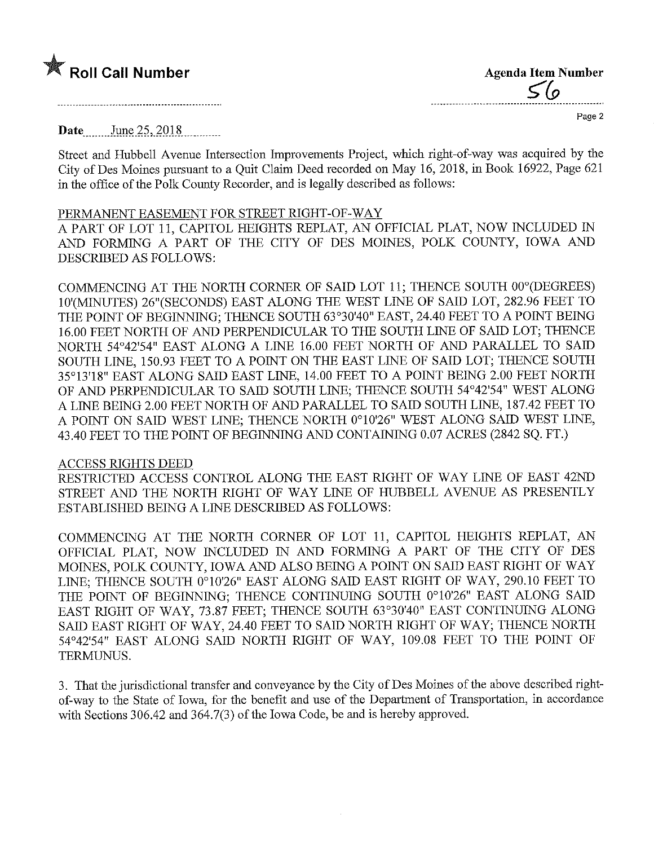## $\mathbb X$  Roll Call Number

| <b>Agenda Item Number</b> |
|---------------------------|
| S (o                      |
|                           |

Page 2

**Date** June 25, 2018

Street and Hubbell Avenue Intersection Improvements Project, which right-of-way was acquired by the City of Des Moines pursuant to a Quit Claim Deed recorded on May 16, 2018, in Book 16922, Page 621 in the office of the Polk County Recorder, and is legally described as follows:

## PERMANENT EASEMENT FOR STREET RIGHT-OF-WAY

A PART OF LOT 11, CAPITOL HEIGHTS REPLAT, AN OFFICIAL PLAT, NOW INCLUDED IN AND FORMING A PART OF THE CITY OF DES MOINES, POLK COUNTY, IOWA AND DESCRIBED AS FOLLOWS:

COMMENCING AT THE NORTH CORNER OF SAID LOT 11; THENCE SOUTH 00°(DEGREES) 10'(MINUTES) 26" (SECONDS) EAST ALONG THE WEST LINE OF SAID LOT, 282.96 FEET TO THE POINT OF BEGINNING; THENCE SOUTH 63°30'40" EAST, 24.40 FEET TO A POINT BEING 16.00 FEET NORTH OF AND PERPENDICULAR TO THE SOUTH LINE OF SAID LOT; THENCE NORTH 54°42'54" EAST ALONG A LINE 16.00 FEET NORTH OF AND PARALLEL TO SAID SOUTH LINE, 150.93 FEET TO A POINT ON THE EAST LINE OF SAID LOT; THENCE SOUTH 35°13'18" EAST ALONG SAID EAST LINE, 14.00 FEET TO A POINT BEING 2.00 FEET NORTH OF AND PERPENDICULAR TO SALD SOUTH LINE; THENCE SOUTH 54°42'54" WEST ALONG A LINE BEING 2.00 FEET NORTH OF AND PARALLEL TO SAID SOUTH LINE, 187.42 FEET TO A POINT ON SAID WEST LINE; THENCE NORTH 0°10'26" WEST ALONG SAID WEST LINE, 43.40 FEET TO THE POINT OF BEGINNING AND CONTAINING 0.07 ACRES (2842 SQ. FT.)

## ACCESS RIGHTS DEED

RESTRICTED ACCESS CONTROL ALONG THE EAST RIGHT OF WAY LINE OF EAST 42ND STREET AND THE NORTH RIGHT OF WAY LINE OF HUBBELL AVENUE AS PRESENTLY ESTABLISHED BEING A LINE DESCRIBED AS FOLLOWS:

COMMENCING AT THE NORTH CORNER OF LOT 11, CAPITOL HEIGHTS REPLAT, AN OFFICIAL PLAT, NOW INCLUDED IN AND FORMING A PART OF THE CITY OF DES MOINES, POLK COUNTY, IOWA AND ALSO BEING A POINT ON SAID EAST RIGHT OF WAY LINE; THENCE SOUTH 0°10'26" EAST ALONG SAID EAST RIGHT OF WAY, 290.10 FEET TO THE POINT OF BEGINNING; THENCE CONTINUING SOUTH 0°10'26" EAST ALONG SAID EAST RIGHT OF WAY, 73.87 FEET; THENCE SOUTH 63°30'40" EAST CONTINUING ALONG SAID EAST RIGHT OF WAY, 24.40 FEET TO SAID NORTH RIGHT OF WAY; THENCE NORTH 54°42'54" EAST ALONG SAID NORTH RIGHT OF WAY, 109.08 FEET TO THE POINT OF TERMUNUS.

3. That the jurisdictional transfer and conveyance by the City of Des Moines of the above described rightof-way to the State of Iowa, for the benefit and use of the Department of Transportation, in accordance with Sections 306.42 and 364.7(3) of the Iowa Code, be and is hereby approved.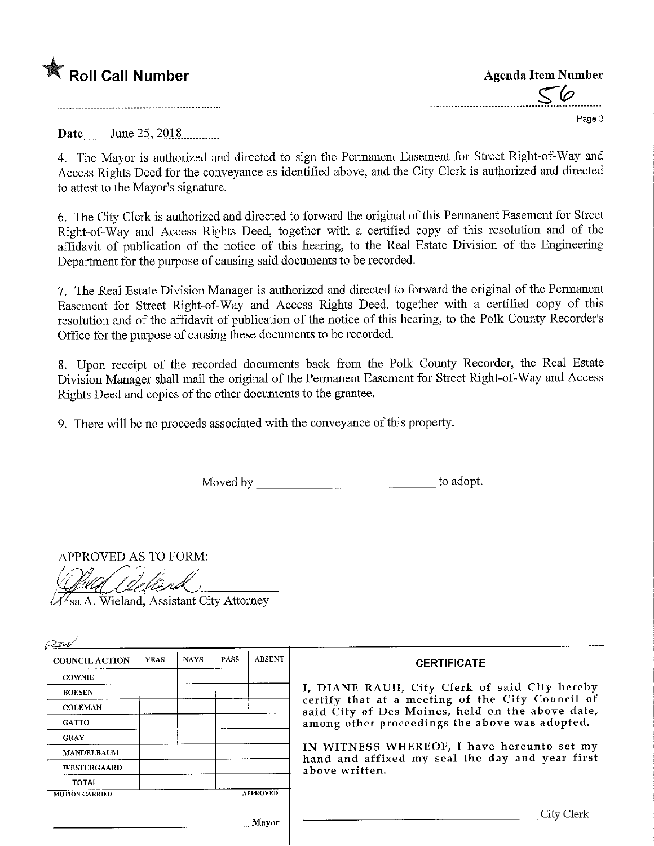

Agenda Item Number ^ Page 3

Date June 25, 2018

4. The Mayor is authorized and directed to sign the Permanent Easement for Street Right-of-Way and Access Rights Deed for the conveyance as identified above, and the City Clerk is authorized and directed to attest to the Mayor's signature.

6. The City Clerk is authorized and directed to forward the original of this Permanent Easement for Street Right-of-Way and Access Rights Deed, together with a certified copy of this resolution and of the affidavit of publication of the notice of this hearing, to the Real Estate Division of the Engineering Department for the purpose of causing said documents to be recorded.

7. The Real Estate Division Manager is authorized and directed to forward the original of the Permanent Easement for Street Right-of-Way and Access Rights Deed, together with a certified copy of this resolution and of the affidavit of publication of the notice of this hearing, to the Polk County Recorder's Office for the purpose of causing these documents to be recorded.

8. Upon receipt of the recorded documents back from the Polk County Recorder, the Real Estate Division Manager shall mail the original of the Permanent Easement for Street Right-of-Way and Access Rights Deed and copies of the other documents to the grantee.

9. There will be no proceeds associated with the conveyance of this property.

Moved by to adopt.

APPROVED AS TO FORM:

Asa A. Wieland, Assistant City Attorney

| P <sub>W</sub>        |             |             |             |                 |                                                                                                                 |  |  |  |
|-----------------------|-------------|-------------|-------------|-----------------|-----------------------------------------------------------------------------------------------------------------|--|--|--|
| <b>COUNCIL ACTION</b> | <b>YEAS</b> | <b>NAYS</b> | <b>PASS</b> | <b>ABSENT</b>   | <b>CERTIFICATE</b>                                                                                              |  |  |  |
| <b>COWNIE</b>         |             |             |             |                 |                                                                                                                 |  |  |  |
| <b>BOESEN</b>         |             |             |             |                 | I, DIANE RAUH, City Clerk of said City hereby                                                                   |  |  |  |
| <b>COLEMAN</b>        |             |             |             |                 | certify that at a meeting of the City Council of<br>said City of Des Moines, held on the above date,            |  |  |  |
| <b>GATTO</b>          |             |             |             |                 | among other proceedings the above was adopted.                                                                  |  |  |  |
| <b>CRAY</b>           |             |             |             |                 |                                                                                                                 |  |  |  |
| <b>MANDELBAUM</b>     |             |             |             |                 | IN WITNESS WHEREOF, I have hereunto set my<br>hand and affixed my seal the day and year first<br>above written. |  |  |  |
| WESTERGAARD           |             |             |             |                 |                                                                                                                 |  |  |  |
| TOTAL                 |             |             |             |                 |                                                                                                                 |  |  |  |
| <b>MOTION CARRIED</b> |             |             |             | <b>APPROVED</b> |                                                                                                                 |  |  |  |
|                       |             |             |             | Mayor           | City Clerk                                                                                                      |  |  |  |